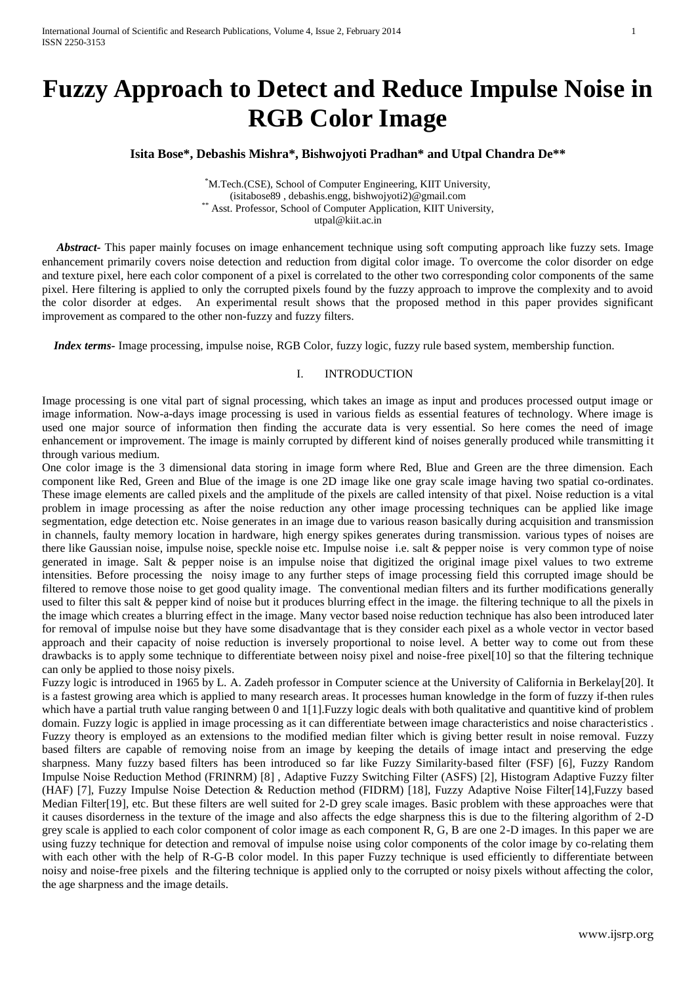# **Fuzzy Approach to Detect and Reduce Impulse Noise in RGB Color Image**

# **Isita Bose\*, Debashis Mishra\*, Bishwojyoti Pradhan\* and Utpal Chandra De\*\***

\*M.Tech.(CSE), School of Computer Engineering, KIIT University, (isitabose89 , debashis.engg, bishwojyoti2)@gmail.com \*\* Asst. Professor, School of Computer Application, KIIT University, utpal@kiit.ac.in

 *Abstract-* This paper mainly focuses on image enhancement technique using soft computing approach like fuzzy sets. Image enhancement primarily covers noise detection and reduction from digital color image. To overcome the color disorder on edge and texture pixel, here each color component of a pixel is correlated to the other two corresponding color components of the same pixel. Here filtering is applied to only the corrupted pixels found by the fuzzy approach to improve the complexity and to avoid the color disorder at edges. An experimental result shows that the proposed method in this paper provides significant improvement as compared to the other non-fuzzy and fuzzy filters.

 *Index terms-* Image processing, impulse noise, RGB Color, fuzzy logic, fuzzy rule based system, membership function.

# I. INTRODUCTION

Image processing is one vital part of signal processing, which takes an image as input and produces processed output image or image information. Now-a-days image processing is used in various fields as essential features of technology. Where image is used one major source of information then finding the accurate data is very essential. So here comes the need of image enhancement or improvement. The image is mainly corrupted by different kind of noises generally produced while transmitting it through various medium.

One color image is the 3 dimensional data storing in image form where Red, Blue and Green are the three dimension. Each component like Red, Green and Blue of the image is one 2D image like one gray scale image having two spatial co-ordinates. These image elements are called pixels and the amplitude of the pixels are called intensity of that pixel. Noise reduction is a vital problem in image processing as after the noise reduction any other image processing techniques can be applied like image segmentation, edge detection etc. Noise generates in an image due to various reason basically during acquisition and transmission in channels, faulty memory location in hardware, high energy spikes generates during transmission. various types of noises are there like Gaussian noise, impulse noise, speckle noise etc. Impulse noise i.e. salt & pepper noise is very common type of noise generated in image. Salt & pepper noise is an impulse noise that digitized the original image pixel values to two extreme intensities. Before processing the noisy image to any further steps of image processing field this corrupted image should be filtered to remove those noise to get good quality image. The conventional median filters and its further modifications generally used to filter this salt & pepper kind of noise but it produces blurring effect in the image. the filtering technique to all the pixels in the image which creates a blurring effect in the image. Many vector based noise reduction technique has also been introduced later for removal of impulse noise but they have some disadvantage that is they consider each pixel as a whole vector in vector based approach and their capacity of noise reduction is inversely proportional to noise level. A better way to come out from these drawbacks is to apply some technique to differentiate between noisy pixel and noise-free pixel[10] so that the filtering technique can only be applied to those noisy pixels.

Fuzzy logic is introduced in 1965 by L. A. Zadeh professor in Computer science at the University of California in Berkelay[20]. It is a fastest growing area which is applied to many research areas. It processes human knowledge in the form of fuzzy if-then rules which have a partial truth value ranging between 0 and 1[1]. Fuzzy logic deals with both qualitative and quantitive kind of problem domain. Fuzzy logic is applied in image processing as it can differentiate between image characteristics and noise characteristics. Fuzzy theory is employed as an extensions to the modified median filter which is giving better result in noise removal. Fuzzy based filters are capable of removing noise from an image by keeping the details of image intact and preserving the edge sharpness. Many fuzzy based filters has been introduced so far like Fuzzy Similarity-based filter (FSF) [6], Fuzzy Random Impulse Noise Reduction Method (FRINRM) [8] , Adaptive Fuzzy Switching Filter (ASFS) [2], Histogram Adaptive Fuzzy filter (HAF) [7], Fuzzy Impulse Noise Detection & Reduction method (FIDRM) [18], Fuzzy Adaptive Noise Filter[14],Fuzzy based Median Filter<sup>[19]</sup>, etc. But these filters are well suited for 2-D grey scale images. Basic problem with these approaches were that it causes disorderness in the texture of the image and also affects the edge sharpness this is due to the filtering algorithm of 2-D grey scale is applied to each color component of color image as each component R, G, B are one 2-D images. In this paper we are using fuzzy technique for detection and removal of impulse noise using color components of the color image by co-relating them with each other with the help of R-G-B color model. In this paper Fuzzy technique is used efficiently to differentiate between noisy and noise-free pixels and the filtering technique is applied only to the corrupted or noisy pixels without affecting the color, the age sharpness and the image details.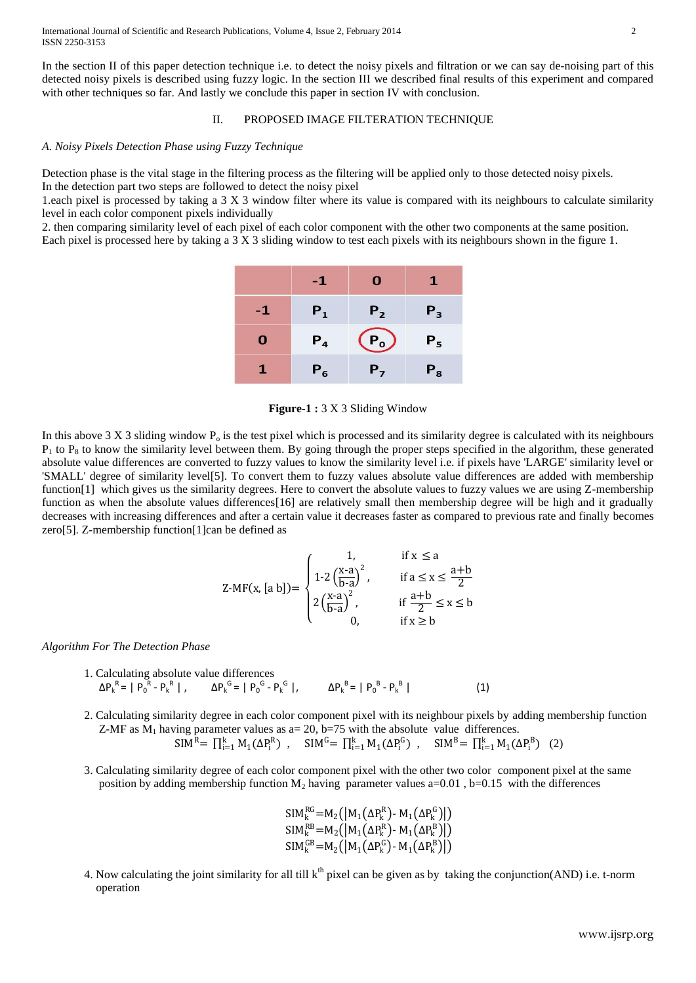In the section II of this paper detection technique i.e. to detect the noisy pixels and filtration or we can say de-noising part of this detected noisy pixels is described using fuzzy logic. In the section III we described final results of this experiment and compared with other techniques so far. And lastly we conclude this paper in section IV with conclusion.

## II. PROPOSED IMAGE FILTERATION TECHNIQUE

## *A. Noisy Pixels Detection Phase using Fuzzy Technique*

Detection phase is the vital stage in the filtering process as the filtering will be applied only to those detected noisy pixels. In the detection part two steps are followed to detect the noisy pixel

1.each pixel is processed by taking a 3 X 3 window filter where its value is compared with its neighbours to calculate similarity level in each color component pixels individually

2. then comparing similarity level of each pixel of each color component with the other two components at the same position. Each pixel is processed here by taking a 3 X 3 sliding window to test each pixels with its neighbours shown in the figure 1.

|    | -1    | 0              |         |
|----|-------|----------------|---------|
| -1 | $P_1$ | P <sub>2</sub> | $P_3$   |
| O  | $P_4$ | $P_0$          | $P_{5}$ |
|    | $P_6$ | $P_{7}$        | $P_{8}$ |

**Figure-1 :** 3 X 3 Sliding Window

In this above  $3 X 3$  sliding window  $P_0$  is the test pixel which is processed and its similarity degree is calculated with its neighbours  $P_1$  to  $P_8$  to know the similarity level between them. By going through the proper steps specified in the algorithm, these generated absolute value differences are converted to fuzzy values to know the similarity level i.e. if pixels have 'LARGE' similarity level or 'SMALL' degree of similarity level[5]. To convert them to fuzzy values absolute value differences are added with membership function[1] which gives us the similarity degrees. Here to convert the absolute values to fuzzy values we are using Z-membership function as when the absolute values differences[16] are relatively small then membership degree will be high and it gradually decreases with increasing differences and after a certain value it decreases faster as compared to previous rate and finally becomes zero[5]. Z-membership function[1]can be defined as

$$
Z-MF(x,[a\ b]) = \begin{cases} 1, & \text{if } x \le a \\ 1\text{-}2\left(\frac{x-a}{b-a}\right)^2, & \text{if } a \le x \le \frac{a+b}{2} \\ 2\left(\frac{x-a}{b-a}\right)^2, & \text{if } \frac{a+b}{2} \le x \le b \\ 0, & \text{if } x \ge b \end{cases}
$$

*Algorithm For The Detection Phase*

- 1. Calculating absolute value differences  $ΔP_k^R = |P_0^R - P_k^R|$ ,  $ΔP_k^G = |P_0^G - P_k^G|$ ,  $ΔP_k^B = |P_0^B - P_k^B|$  $(1)$
- 2. Calculating similarity degree in each color component pixel with its neighbour pixels by adding membership function Z-MF as  $M_1$  having parameter values as a= 20, b=75 with the absolute value differences.  $SIM^R = \prod_{i=1}^k M_1(\Delta P_i^R)$ ,  $SIM^G = \prod_{i=1}^k M_1(\Delta P_i^G)$ ,  $SIM^B = \prod_{i=1}^k M_1(\Delta P_i^B)$  (2)
	-
- 3. Calculating similarity degree of each color component pixel with the other two color component pixel at the same position by adding membership function  $M_2$  having parameter values a=0.01, b=0.15 with the differences

$$
SIM_{k}^{RG} = M_{2}([M_{1}(\Delta P_{k}^{R}) - M_{1}(\Delta P_{k}^{G})])
$$
  
\n
$$
SIM_{k}^{RB} = M_{2}([M_{1}(\Delta P_{k}^{R}) - M_{1}(\Delta P_{k}^{B})])
$$
  
\n
$$
SIM_{k}^{GB} = M_{2}([M_{1}(\Delta P_{k}^{G}) - M_{1}(\Delta P_{k}^{B}))])
$$

4. Now calculating the joint similarity for all till  $k<sup>th</sup>$  pixel can be given as by taking the conjunction(AND) i.e. t-norm operation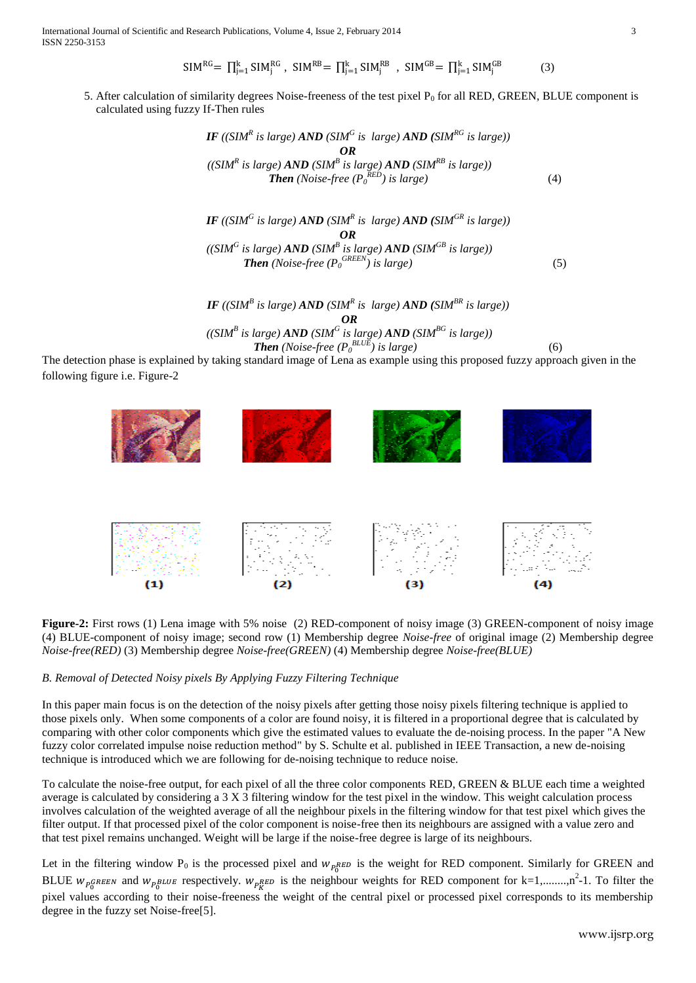International Journal of Scientific and Research Publications, Volume 4, Issue 2, February 2014 3 ISSN 2250-3153

$$
\mathsf{SIM}^{\mathsf{RG}} = \prod_{j=1}^{k} \mathsf{SIM}^{\mathsf{RG}}_{j}, \ \mathsf{SIM}^{\mathsf{RB}} = \prod_{j=1}^{k} \mathsf{SIM}^{\mathsf{RB}}_{j}, \ \mathsf{SIM}^{\mathsf{GB}} = \prod_{j=1}^{k} \mathsf{SIM}^{\mathsf{GB}}_{j}
$$
 (3)

5. After calculation of similarity degrees Noise-freeness of the test pixel  $P_0$  for all RED, GREEN, BLUE component is calculated using fuzzy If-Then rules

 *IF ((SIM<sup>R</sup> is large) AND (SIM<sup>G</sup> is large) AND (SIMRG is large)) OR ((SIM<sup>R</sup> is large) AND (SIM<sup>B</sup> is large) AND (SIMRB is large)) Then (Noise-free (P<sup>0</sup> RED) is large)* (4)

*IF* ((SIM<sup>*G*</sup> is large) *AND* (SIM<sup><sup>R</sup> is large) *AND* **(SIM<sup>***GR***</sup> is large))</sup>** *OR*  $((SIM^G \text{ is large}) \text{ AND } (SIM^B \text{ is large}) \text{ AND } (SIM^{GB} \text{ is large}))$ *Then* (*Noise-free*  $(P_0^{\text{GREEN}})$  *is large*) (5)

> *IF* ((SIM<sup>B</sup> is large) **AND** (SIM<sup>R</sup> is large) **AND** (SIM<sup>BR</sup> is large)) *OR*

$$
((SIMB is large) AND (SIMG is large) AND (SIMBG is large))
$$
  
**Then** (Noise-free (P<sub>0</sub><sup>BLUE</sup>) is large) (6)

The detection phase is explained by taking standard image of Lena as example using this proposed fuzzy approach given in the following figure i.e. Figure-2



**Figure-2:** First rows (1) Lena image with 5% noise (2) RED-component of noisy image (3) GREEN-component of noisy image (4) BLUE-component of noisy image; second row (1) Membership degree *Noise-free* of original image (2) Membership degree *Noise-free(RED)* (3) Membership degree *Noise-free(GREEN)* (4) Membership degree *Noise-free(BLUE)*

# *B. Removal of Detected Noisy pixels By Applying Fuzzy Filtering Technique*

In this paper main focus is on the detection of the noisy pixels after getting those noisy pixels filtering technique is applied to those pixels only. When some components of a color are found noisy, it is filtered in a proportional degree that is calculated by comparing with other color components which give the estimated values to evaluate the de-noising process. In the paper "A New fuzzy color correlated impulse noise reduction method" by S. Schulte et al. published in IEEE Transaction, a new de-noising technique is introduced which we are following for de-noising technique to reduce noise.

To calculate the noise-free output, for each pixel of all the three color components RED, GREEN & BLUE each time a weighted average is calculated by considering a 3 X 3 filtering window for the test pixel in the window. This weight calculation process involves calculation of the weighted average of all the neighbour pixels in the filtering window for that test pixel which gives the filter output. If that processed pixel of the color component is noise-free then its neighbours are assigned with a value zero and that test pixel remains unchanged. Weight will be large if the noise-free degree is large of its neighbours.

Let in the filtering window  $P_0$  is the processed pixel and  $W_{pR}$ ED is the weight for RED component. Similarly for GREEN and BLUE  $w_{\text{p}QREEN}$  and  $w_{\text{p}BEUE}$  respectively.  $w_{\text{p}RED}$  is the neighbour weights for RED component for k=1,.......,n<sup>2</sup>-1. To filter the pixel values according to their noise-freeness the weight of the central pixel or processed pixel corresponds to its membership degree in the fuzzy set Noise-free[5].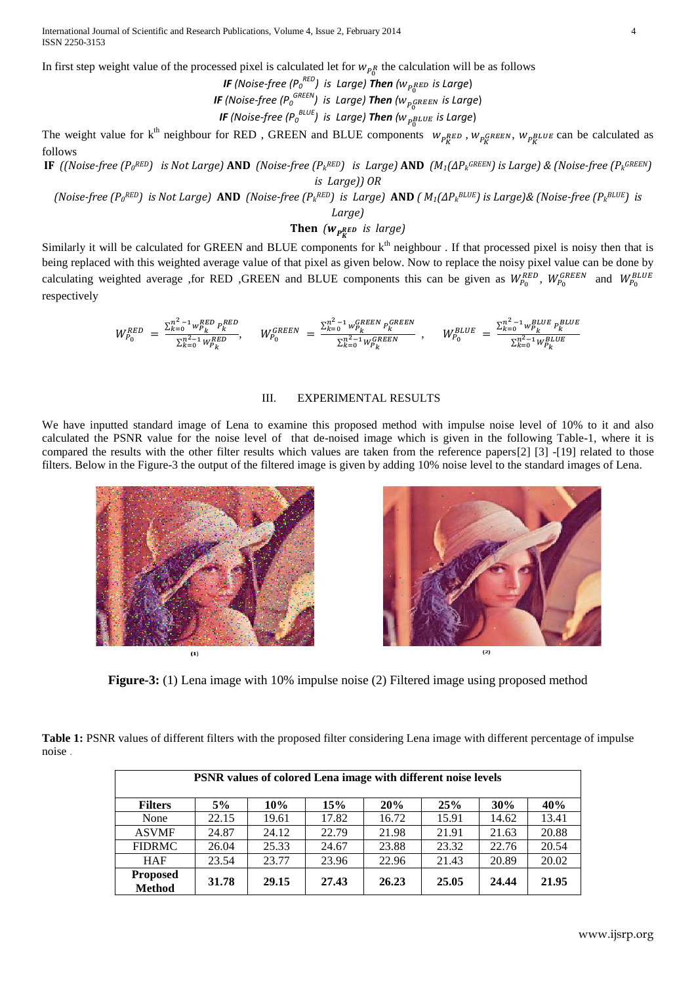International Journal of Scientific and Research Publications, Volume 4, Issue 2, February 2014 4 ISSN 2250-3153

In first step weight value of the processed pixel is calculated let for  $w_{pR}$  the calculation will be as follows

*IF* (Noise-free (P $_{0}^{\mathit{RED}}$ ) is Large) Then ( $w_{P_{0}^{RED}}$  is Large) *IF (Noise-free (P<sup>0</sup> GREEN) is Large) Then ( is Large*) *IF (Noise-free (P<sup>0</sup> BLUE) is Large) Then ( is Large*)

The weight value for  $k^{th}$  neighbour for RED, GREEN and BLUE components  $W_{pR}ED$ ,  $W_{pR}EDE$ ,  $W_{pR}EDE$  can be calculated as follows

**IF** ((Noise-free (P<sub>o</sub>RED) is Not Large) **AND** (Noise-free (P<sub>k</sub>RED) is Large) **AND** (M<sub>1</sub>(AP<sub>k</sub>GREEN) is Large) & (Noise-free (P<sub>k</sub>GREEN) *is Large)) OR*

(Noise-free (Po<sup>RED</sup>) is Not Large) **AND** (Noise-free (P<sub>k</sub>RED) is Large) **AND** (  $M_1(\Delta P_k^{BLUE})$  is Large)& (Noise-free (P<sub>k</sub>BLUE) is

*Large)*

**Then** *( is large)*

Similarly it will be calculated for GREEN and BLUE components for  $k<sup>th</sup>$  neighbour . If that processed pixel is noisy then that is being replaced with this weighted average value of that pixel as given below. Now to replace the noisy pixel value can be done by calculating weighted average ,for RED ,GREEN and BLUE components this can be given as  $W_{P_0}^{RED}$ ,  $W_{P_0}^{GREEN}$  and  $W_{P_0}^{BB}$ respectively

$$
W_{P_0}^{RED} \ = \ \frac{\Sigma_{k=0}^{n^2-1} w_{P_k}^{RED} \ p_k^{RED}}{\Sigma_{k=0}^{n^2-1} w_{P_k}^{BE}}, \qquad W_{P_0}^{GREEN} \ = \ \frac{\Sigma_{k=0}^{n^2-1} w_{P_k}^{GREEN} \ p_k^{GREEN}}{\Sigma_{k=0}^{n^2-1} w_{P_k}^{GREEN}} \ \ , \qquad W_{P_0}^{BLUE} \ = \ \frac{\Sigma_{k=0}^{n^2-1} w_{P_k}^{BLUE} \ p_k^{BLUE}}{\Sigma_{k=0}^{n^2-1} w_{P_k}^{BLUE}}
$$

#### III. EXPERIMENTAL RESULTS

We have inputted standard image of Lena to examine this proposed method with impulse noise level of 10% to it and also calculated the PSNR value for the noise level of that de-noised image which is given in the following Table-1, where it is compared the results with the other filter results which values are taken from the reference papers[2] [3] -[19] related to those filters. Below in the Figure-3 the output of the filtered image is given by adding 10% noise level to the standard images of Lena.





**Figure-3:** (1) Lena image with 10% impulse noise (2) Filtered image using proposed method

**Table 1:** PSNR values of different filters with the proposed filter considering Lena image with different percentage of impulse noise .

| PSNR values of colored Lena image with different noise levels |       |       |       |       |       |       |       |  |  |
|---------------------------------------------------------------|-------|-------|-------|-------|-------|-------|-------|--|--|
| <b>Filters</b>                                                | 5%    | 10%   | 15%   | 20%   | 25%   | 30%   | 40%   |  |  |
| None                                                          | 22.15 | 19.61 | 17.82 | 16.72 | 15.91 | 14.62 | 13.41 |  |  |
| <b>ASVMF</b>                                                  | 24.87 | 24.12 | 22.79 | 21.98 | 21.91 | 21.63 | 20.88 |  |  |
| <b>FIDRMC</b>                                                 | 26.04 | 25.33 | 24.67 | 23.88 | 23.32 | 22.76 | 20.54 |  |  |
| <b>HAF</b>                                                    | 23.54 | 23.77 | 23.96 | 22.96 | 21.43 | 20.89 | 20.02 |  |  |
| <b>Proposed</b><br><b>Method</b>                              | 31.78 | 29.15 | 27.43 | 26.23 | 25.05 | 24.44 | 21.95 |  |  |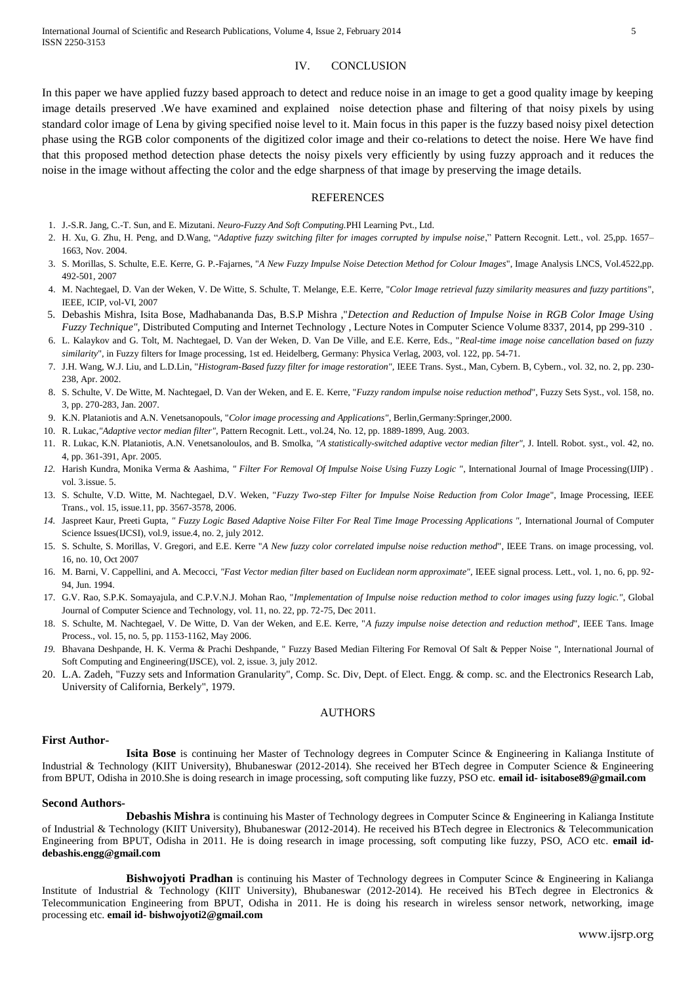# IV. CONCLUSION

In this paper we have applied fuzzy based approach to detect and reduce noise in an image to get a good quality image by keeping image details preserved .We have examined and explained noise detection phase and filtering of that noisy pixels by using standard color image of Lena by giving specified noise level to it. Main focus in this paper is the fuzzy based noisy pixel detection phase using the RGB color components of the digitized color image and their co-relations to detect the noise. Here We have find that this proposed method detection phase detects the noisy pixels very efficiently by using fuzzy approach and it reduces the noise in the image without affecting the color and the edge sharpness of that image by preserving the image details.

#### **REFERENCES**

- 1. J.-S.R. Jang, C.-T. Sun, and E. Mizutani. *Neuro-Fuzzy And Soft Computing.*PHI Learning Pvt., Ltd.
- 2. H. Xu, G. Zhu, H. Peng, and D.Wang, "*Adaptive fuzzy switching filter for images corrupted by impulse noise*," Pattern Recognit. Lett., vol. 25,pp. 1657– 1663, Nov. 2004.
- 3. S. Morillas, S. Schulte, E.E. Kerre, G. P.-Fajarnes, "*A New Fuzzy Impulse Noise Detection Method for Colour Images*", Image Analysis LNCS, Vol.4522,pp. 492-501, 2007
- 4. M. Nachtegael, D. Van der Weken, V. De Witte, S. Schulte, T. Melange, E.E. Kerre, "*Color Image retrieval fuzzy similarity measures and fuzzy partitions*", IEEE, ICIP, vol-VI, 2007
- 5. Debashis Mishra, Isita Bose, Madhabananda Das, B.S.P Mishra ,"*Detection and Reduction of Impulse Noise in RGB Color Image Using Fuzzy Technique",* [Distributed Computing and Internet Technology](http://link.springer.com/book/10.1007/978-3-319-04483-5) , [Lecture Notes in Computer Science](http://link.springer.com/bookseries/558) Volume 8337, 2014, pp 299-310 .
- 6. L. Kalaykov and G. Tolt, M. Nachtegael, D. Van der Weken, D. Van De Ville, and E.E. Kerre, Eds., "*Real-time image noise cancellation based on fuzzy similarity*", in Fuzzy filters for Image processing, 1st ed. Heidelberg, Germany: Physica Verlag, 2003, vol. 122, pp. 54-71.
- 7. J.H. Wang, W.J. Liu, and L.D.Lin, "*Histogram-Based fuzzy filter for image restoration",* IEEE Trans. Syst., Man, Cybern. B, Cybern., vol. 32, no. 2, pp. 230- 238, Apr. 2002.
- 8. S. Schulte, V. De Witte, M. Nachtegael, D. Van der Weken, and E. E. Kerre, "*Fuzzy random impulse noise reduction method*", Fuzzy Sets Syst., vol. 158, no. 3, pp. 270-283, Jan. 2007.
- 9. K.N. Plataniotis and A.N. Venetsanopouls, "*Color image processing and Applications"*, Berlin,Germany:Springer,2000.
- 10. R. Lukac,*"Adaptive vector median filter",* Pattern Recognit. Lett., vol.24, No. 12, pp. 1889-1899, Aug. 2003.
- 11. R. Lukac, K.N. Plataniotis, A.N. Venetsanoloulos, and B. Smolka, *"A statistically-switched adaptive vector median filter",* J. Intell. Robot. syst., vol. 42, no. 4, pp. 361-391, Apr. 2005.
- *12.* Harish Kundra, Monika Verma & Aashima, *" Filter For Removal Of Impulse Noise Using Fuzzy Logic "*, International Journal of Image Processing(IJIP) . vol. 3.issue. 5.
- 13. S. Schulte, V.D. Witte, M. Nachtegael, D.V. Weken, "*Fuzzy Two-step Filter for Impulse Noise Reduction from Color Image*", Image Processing, IEEE Trans., vol. 15, issue.11, pp. 3567-3578, 2006.
- 14. Jaspreet Kaur, Preeti Gupta, " Fuzzy Logic Based Adaptive Noise Filter For Real Time Image Processing Applications ", International Journal of Computer Science Issues(IJCSI), vol.9, issue.4, no. 2, july 2012.
- 15. S. Schulte, S. Morillas, V. Gregori, and E.E. Kerre "*A New fuzzy color correlated impulse noise reduction method*", IEEE Trans. on image processing, vol. 16, no. 10, Oct 2007
- 16. M. Barni, V. Cappellini, and A. Mecocci, "Fast Vector median filter based on Euclidean norm approximate", IEEE signal process. Lett., vol. 1, no. 6, pp. 92-94, Jun. 1994.
- 17. G.V. Rao, S.P.K. Somayajula, and C.P.V.N.J. Mohan Rao, "*Implementation of Impulse noise reduction method to color images using fuzzy logic."*, Global Journal of Computer Science and Technology, vol. 11, no. 22, pp. 72-75, Dec 2011.
- 18. S. Schulte, M. Nachtegael, V. De Witte, D. Van der Weken, and E.E. Kerre, "*A fuzzy impulse noise detection and reduction method*", IEEE Tans. Image Process., vol. 15, no. 5, pp. 1153-1162, May 2006.
- *19.* Bhavana Deshpande, H. K. Verma & Prachi Deshpande, " Fuzzy Based Median Filtering For Removal Of Salt & Pepper Noise ", International Journal of Soft Computing and Engineering(IJSCE), vol. 2, issue. 3, july 2012.
- 20. L.A. Zadeh, "Fuzzy sets and Information Granularity", Comp. Sc. Div, Dept. of Elect. Engg. & comp. sc. and the Electronics Research Lab, University of California, Berkely", 1979.

## AUTHORS

## **First Author-**

**Isita Bose** is continuing her Master of Technology degrees in Computer Scince & Engineering in Kalianga Institute of Industrial & Technology (KIIT University), Bhubaneswar (2012-2014). She received her BTech degree in Computer Science & Engineering from BPUT, Odisha in 2010.She is doing research in image processing, soft computing like fuzzy, PSO etc. **email id- isitabose89@gmail.com**

#### **Second Authors-**

**Debashis Mishra** is continuing his Master of Technology degrees in Computer Scince & Engineering in Kalianga Institute of Industrial & Technology (KIIT University), Bhubaneswar (2012-2014). He received his BTech degree in Electronics & Telecommunication Engineering from BPUT, Odisha in 2011. He is doing research in image processing, soft computing like fuzzy, PSO, ACO etc. **email iddebashis.engg@gmail.com**

**Bishwojyoti Pradhan** is continuing his Master of Technology degrees in Computer Scince & Engineering in Kalianga Institute of Industrial & Technology (KIIT University), Bhubaneswar (2012-2014). He received his BTech degree in Electronics & Telecommunication Engineering from BPUT, Odisha in 2011. He is doing his research in wireless sensor network, networking, image processing etc. **email id- bishwojyoti2@gmail.com**